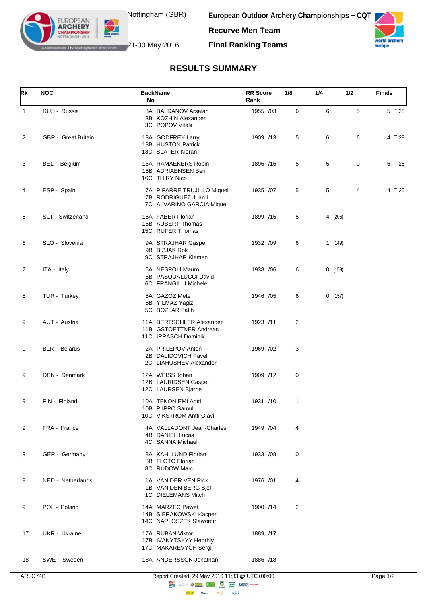

**European Outdoor Archery Championships + CQT Recurve Men Team**



**IF The Nottingham Building Society** 21-30 May 2016

**EUROPEAN ARCHERY** 

**Final Ranking Teams**

## **RESULTS SUMMARY**

| Rk             | <b>NOC</b>           | <b>BackName</b><br>No                                                           | <b>RR</b> Score<br>Rank | 1/8 | 1/4     | 1/2 | <b>Finals</b> |
|----------------|----------------------|---------------------------------------------------------------------------------|-------------------------|-----|---------|-----|---------------|
| $\mathbf 1$    | RUS - Russia         | 3A BALDANOV Arsalan<br>3B KOZHIN Alexander<br>3C POPOV Vitalii                  | 1955 /03                | 6   | 6       | 5   | 5 T.28        |
| 2              | GBR - Great Britain  | 13A GODFREY Larry<br>13B HUSTON Patrick<br>13C SLATER Kieran                    | 1909 /13                | 5   | 6       | 6   | 4 T.28        |
| 3              | BEL - Belgium        | 16A RAMAEKERS Robin<br>16B ADRIAENSEN Ben<br>16C THIRY Nico                     | 1896 /16                | 5   | 5       | 0   | 5 T.28        |
| 4              | ESP - Spain          | 7A PIFARRE TRUJILLO Miguel<br>7B RODRIGUEZ Juan I.<br>7C ALVARINO GARCIA Miguel | 1935 /07                | 5   | 5       | 4   | 4 T.25        |
| 5              | SUI - Switzerland    | 15A FABER Florian<br>15B AUBERT Thomas<br>15C RUFER Thomas                      | 1899 /15                | 5   | 4 (206) |     |               |
| 6              | SLO - Slovenia       | 9A STRAJHAR Gasper<br>9B BIZJAK Rok<br>9C STRAJHAR Klemen                       | 1932 /09                | 6   | 1(149)  |     |               |
| $\overline{7}$ | ITA - Italy          | 6A NESPOLI Mauro<br>6B PASQUALUCCI David<br>6C FRANGILLI Michele                | 1938 / 06               | 6   | 0(159)  |     |               |
| 8              | TUR - Turkey         | 5A GAZOZ Mete<br>5B YILMAZ Yagiz<br>5C BOZLAR Fatih                             | 1946 / 05               | 6   | 0(157)  |     |               |
| 9              | AUT - Austria        | 11A BERTSCHLER Alexander<br>11B GSTOETTNER Andreas<br>11C IRRASCH Dominik       | 1923 /11                | 2   |         |     |               |
| 9              | <b>BLR</b> - Belarus | 2A PRILEPOV Anton<br>2B DALIDOVICH Pavel<br>2C LIAHUSHEV Alexander              | 1969 / 02               | 3   |         |     |               |
| 9              | DEN - Denmark        | 12A WEISS Johan<br>12B LAURIDSEN Casper<br>12C LAURSEN Bjarne                   | 1909 /12                | 0   |         |     |               |
| 9              | FIN - Finland        | 10A TEKONIEMI Antti<br>10B PIIPPO Samuli<br>10C VIKSTROM Antti Olavi            | 1931 /10                | 1   |         |     |               |
| 9              | FRA - France         | 4A VALLADONT Jean-Charles<br>4B DANIEL Lucas<br>4C SANNA Michael                | 1949 / 04               | 4   |         |     |               |
| 9              | GER - Germany        | 8A KAHLLUND Florian<br>8B FLOTO Florian<br>8C RUDOW Marc                        | 1933 /08                | 0   |         |     |               |
| 9              | NED - Netherlands    | 1A VAN DER VEN Rick<br>1B VAN DEN BERG Sjef<br>1C DIELEMANS Mitch               | 1976 /01                | 4   |         |     |               |
| 9              | POL - Poland         | 14A MARZEC Pawel<br>14B SIERAKOWSKI Kacper<br>14C NAPLOSZEK Slawomir            | 1900 /14                | 2   |         |     |               |
| 17             | UKR - Ukraine        | 17A RUBAN Viktor<br>17B IVANYTSKYY Heorhiy<br>17C MAKAREVYCH Sergii             | 1889 /17                |     |         |     |               |
| 18             | SWE - Sweden         | 18A ANDERSSON Jonathan                                                          | 1886 /18                |     |         |     |               |